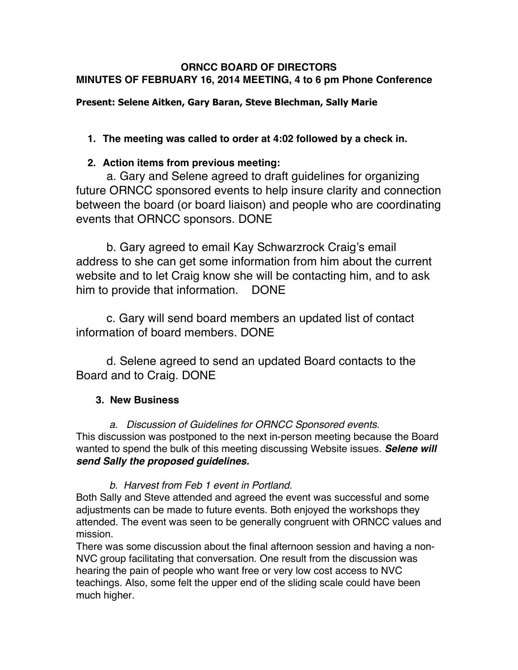#### **ORNCC BOARD OF DIRECTORS MINUTES OF FEBRUARY 16, 2014 MEETING, 4 to 6 pm Phone Conference**

## **Present: Selene Aitken, Gary Baran, Steve Blechman, Sally Marie**

# **1. The meeting was called to order at 4:02 followed by a check in.**

## **2. Action items from previous meeting:**

a. Gary and Selene agreed to draft guidelines for organizing future ORNCC sponsored events to help insure clarity and connection between the board (or board liaison) and people who are coordinating events that ORNCC sponsors. DONE

b. Gary agreed to email Kay Schwarzrock Craig's email address to she can get some information from him about the current website and to let Craig know she will be contacting him, and to ask him to provide that information. DONE

c. Gary will send board members an updated list of contact information of board members. DONE

d. Selene agreed to send an updated Board contacts to the Board and to Craig. DONE

## **3. New Business**

 *a. Discussion of Guidelines for ORNCC Sponsored events.* This discussion was postponed to the next in-person meeting because the Board wanted to spend the bulk of this meeting discussing Website issues. *Selene will send Sally the proposed guidelines.*

## *b. Harvest from Feb 1 event in Portland.*

Both Sally and Steve attended and agreed the event was successful and some adjustments can be made to future events. Both enjoyed the workshops they attended. The event was seen to be generally congruent with ORNCC values and mission.

There was some discussion about the final afternoon session and having a non-NVC group facilitating that conversation. One result from the discussion was hearing the pain of people who want free or very low cost access to NVC teachings. Also, some felt the upper end of the sliding scale could have been much higher.